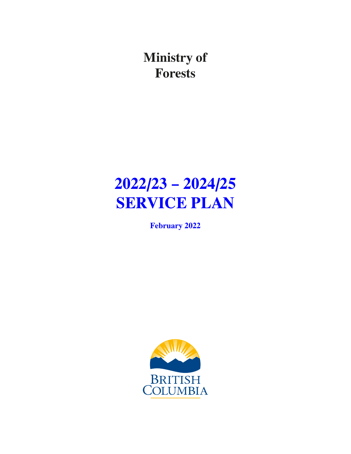**Ministry of Forests**

# **2022/23 – 2024/25 SERVICE PLAN**

**February 2022**

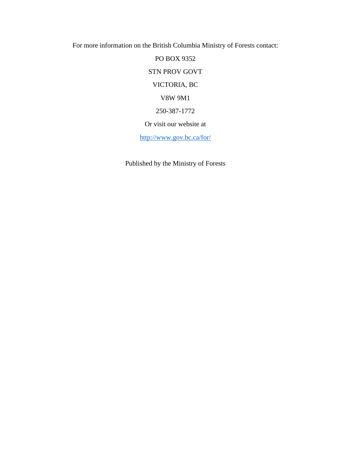For more information on the British Columbia Ministry of Forests contact:

PO BOX 9352 STN PROV GOVT VICTORIA, BC V8W 9M1 250-387-1772 Or visit our website at <http://www.gov.bc.ca/for/>

Published by the Ministry of Forests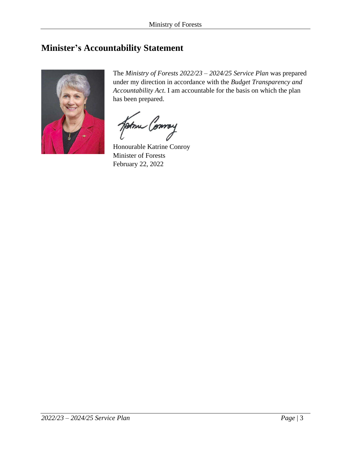### <span id="page-2-0"></span>**Minister's Accountability Statement**



The *Ministry of Forests 2022/23 – 2024/25 Service Plan* was prepared under my direction in accordance with the *Budget Transparency and Accountability Act*. I am accountable for the basis on which the plan has been prepared.

Some Conney

Honourable Katrine Conroy Minister of Forests February 22, 2022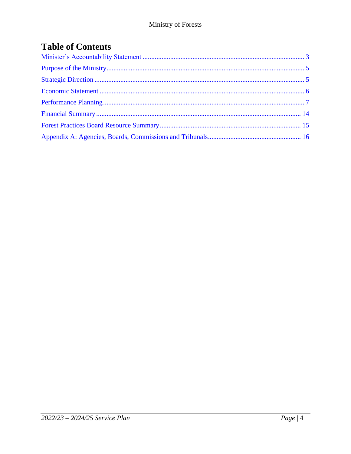# **Table of Contents**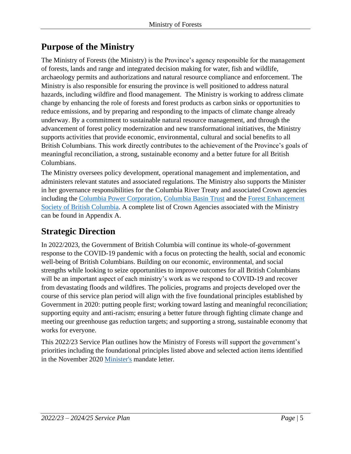# <span id="page-4-0"></span>**Purpose of the Ministry**

The Ministry of Forests (the Ministry) is the Province's agency responsible for the management of forests, lands and range and integrated decision making for water, fish and wildlife, archaeology permits and authorizations and natural resource compliance and enforcement. The Ministry is also responsible for ensuring the province is well positioned to address natural hazards, including wildfire and flood management. The Ministry is working to address climate change by enhancing the role of forests and forest products as carbon sinks or opportunities to reduce emissions, and by preparing and responding to the impacts of climate change already underway. By a commitment to sustainable natural resource management, and through the advancement of forest policy modernization and new transformational initiatives, the Ministry supports activities that provide economic, environmental, cultural and social benefits to all British Columbians. This work directly contributes to the achievement of the Province's goals of meaningful reconciliation, a strong, sustainable economy and a better future for all British Columbians.

The Ministry oversees policy development, operational management and implementation, and administers relevant statutes and associated regulations. The Ministry also supports the Minister in her governance responsibilities for the Columbia River Treaty and associated Crown agencies including the [Columbia Power Corporation,](http://columbiapower.org/) [Columbia Basin Trust](https://ourtrust.org/) and the [Forest Enhancement](https://www.fesbc.ca/)  [Society of British Columbia.](https://www.fesbc.ca/) A complete list of Crown Agencies associated with the Ministry can be found in Appendix A.

# <span id="page-4-1"></span>**Strategic Direction**

In 2022/2023, the Government of British Columbia will continue its whole-of-government response to the COVID-19 pandemic with a focus on protecting the health, social and economic well-being of British Columbians. Building on our economic, environmental, and social strengths while looking to seize opportunities to improve outcomes for all British Columbians will be an important aspect of each ministry's work as we respond to COVID-19 and recover from devastating floods and wildfires. The policies, programs and projects developed over the course of this service plan period will align with the five foundational principles established by Government in 2020: putting people first; working toward lasting and meaningful reconciliation; supporting equity and anti-racism; ensuring a better future through fighting climate change and meeting our greenhouse gas reduction targets; and supporting a strong, sustainable economy that works for everyone.

This 2022/23 Service Plan outlines how the Ministry of Forests will support the government's priorities including the foundational principles listed above and selected action items identified in the November 2020 [Minister's](https://www2.gov.bc.ca/assets/gov/government/ministries-organizations/premier-cabinet-mlas/minister-letter/conroy_mandate_2020.pdf) mandate letter.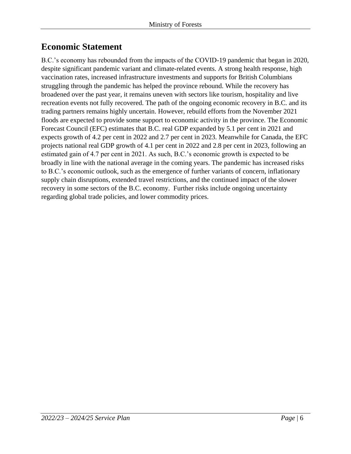### <span id="page-5-0"></span>**Economic Statement**

B.C.'s economy has rebounded from the impacts of the COVID-19 pandemic that began in 2020, despite significant pandemic variant and climate-related events. A strong health response, high vaccination rates, increased infrastructure investments and supports for British Columbians struggling through the pandemic has helped the province rebound. While the recovery has broadened over the past year, it remains uneven with sectors like tourism, hospitality and live recreation events not fully recovered. The path of the ongoing economic recovery in B.C. and its trading partners remains highly uncertain. However, rebuild efforts from the November 2021 floods are expected to provide some support to economic activity in the province. The Economic Forecast Council (EFC) estimates that B.C. real GDP expanded by 5.1 per cent in 2021 and expects growth of 4.2 per cent in 2022 and 2.7 per cent in 2023. Meanwhile for Canada, the EFC projects national real GDP growth of 4.1 per cent in 2022 and 2.8 per cent in 2023, following an estimated gain of 4.7 per cent in 2021. As such, B.C.'s economic growth is expected to be broadly in line with the national average in the coming years. The pandemic has increased risks to B.C.'s economic outlook, such as the emergence of further variants of concern, inflationary supply chain disruptions, extended travel restrictions, and the continued impact of the slower recovery in some sectors of the B.C. economy. Further risks include ongoing uncertainty regarding global trade policies, and lower commodity prices.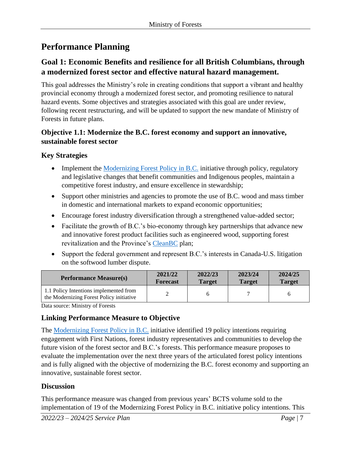# <span id="page-6-0"></span>**Performance Planning**

#### **Goal 1: Economic Benefits and resilience for all British Columbians, through a modernized forest sector and effective natural hazard management.**

This goal addresses the Ministry's role in creating conditions that support a vibrant and healthy provincial economy through a modernized forest sector, and promoting resilience to natural hazard events. Some objectives and strategies associated with this goal are under review, following recent restructuring, and will be updated to support the new mandate of Ministry of Forests in future plans.

#### **Objective 1.1: Modernize the B.C. forest economy and support an innovative, sustainable forest sector**

#### **Key Strategies**

- Implement the [Modernizing Forest Policy in B.C.](https://www2.gov.bc.ca/assets/gov/farming-natural-resources-and-industry/forestry/competitive-forest-industry/modernizing_forestry_in_bc_report.pdf) initiative through policy, regulatory and legislative changes that benefit communities and Indigenous peoples, maintain a competitive forest industry, and ensure excellence in stewardship;
- Support other ministries and agencies to promote the use of B.C. wood and mass timber in domestic and international markets to expand economic opportunities;
- Encourage forest industry diversification through a strengthened value-added sector;
- Facilitate the growth of B.C.'s bio-economy through key partnerships that advance new and innovative forest product facilities such as engineered wood, supporting forest revitalization and the Province's [CleanBC](https://cleanbc.gov.bc.ca/) plan;
- Support the federal government and represent B.C.'s interests in Canada-U.S. litigation on the softwood lumber dispute.

| <b>Performance Measure(s)</b>                                                      | 2021/22         | 2022/23       | 2023/24       | 2024/25       |
|------------------------------------------------------------------------------------|-----------------|---------------|---------------|---------------|
|                                                                                    | <b>Forecast</b> | <b>Target</b> | <b>Target</b> | <b>Target</b> |
| 1.1 Policy Intentions implemented from<br>the Modernizing Forest Policy initiative |                 |               |               |               |

Data source: Ministry of Forests

#### **Linking Performance Measure to Objective**

The [Modernizing Forest Policy in B.C.](https://www2.gov.bc.ca/gov/content/industry/forestry/competitive-forest-industry) initiative identified 19 policy intentions requiring engagement with First Nations, forest industry representatives and communities to develop the future vision of the forest sector and B.C.'s forests. This performance measure proposes to evaluate the implementation over the next three years of the articulated forest policy intentions and is fully aligned with the objective of modernizing the B.C. forest economy and supporting an innovative, sustainable forest sector.

#### **Discussion**

This performance measure was changed from previous years' BCTS volume sold to the implementation of 19 of the Modernizing Forest Policy in B.C. initiative policy intentions. This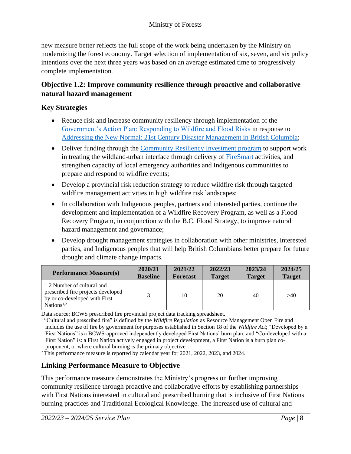new measure better reflects the full scope of the work being undertaken by the Ministry on modernizing the forest economy. Target selection of implementation of six, seven, and six policy intentions over the next three years was based on an average estimated time to progressively complete implementation.

#### **Objective 1.2: Improve community resilience through proactive and collaborative natural hazard management**

#### **Key Strategies**

- Reduce risk and increase community resiliency through implementation of th[e](https://www2.gov.bc.ca/assets/gov/public-safety-and-emergency-services/emergency-preparedness-response-recovery/embc/action_plan.pdf) [Government's Action Plan: Responding to Wildfire and Flood Risks](https://www2.gov.bc.ca/assets/gov/public-safety-and-emergency-services/emergency-preparedness-response-recovery/embc/action_plan.pdf) in response t[o](https://www2.gov.bc.ca/assets/gov/public-safety-and-emergency-services/emergency-preparedness-response-recovery/embc/bc-flood-and-wildfire-review-addressing-the-new-normal-21st-century-disaster-management-in-bc-web.pdf) [Addressing the New Normal: 21st Century Disaster Management in British Columbia;](https://www2.gov.bc.ca/assets/gov/public-safety-and-emergency-services/emergency-preparedness-response-recovery/embc/bc-flood-and-wildfire-review-addressing-the-new-normal-21st-century-disaster-management-in-bc-web.pdf)
- Deliver funding through the [Community Resiliency Investment program](https://www2.gov.bc.ca/gov/content/safety/wildfire-status/prevention/funding-for-wildfire-prevention/crip) to support work in treating the wildland-urban interface through delivery of [FireSmart](https://www2.gov.bc.ca/gov/content/safety/wildfire-status/prevention/firesmart) activities, and strengthen capacity of local emergency authorities and Indigenous communities to prepare and respond to wildfire events;
- Develop a provincial risk reduction strategy to reduce wildfire risk through targeted wildfire management activities in high wildfire risk landscapes;
- In collaboration with Indigenous peoples, partners and interested parties, continue the development and implementation of a Wildfire Recovery Program, as well as a Flood Recovery Program, in conjunction with the B.C. Flood Strategy, to improve natural hazard management and governance;
- Develop drought management strategies in collaboration with other ministries, interested parties, and Indigenous peoples that will help British Columbians better prepare for future drought and climate change impacts.

| <b>Performance Measure(s)</b>                                                                                               | 2020/21         | 2021/22         | 2022/23       | 2023/24       | 2024/25       |
|-----------------------------------------------------------------------------------------------------------------------------|-----------------|-----------------|---------------|---------------|---------------|
|                                                                                                                             | <b>Baseline</b> | <b>Forecast</b> | <b>Target</b> | <b>Target</b> | <b>Target</b> |
| 1.2 Number of cultural and<br>prescribed fire projects developed<br>by or co-developed with First<br>Nations <sup>1,2</sup> |                 | 10              | 20            | 40            | >40           |

Data source: BCWS prescribed fire provincial project data tracking spreadsheet.

<sup>1</sup> "Cultural and prescribed fire" is defined by the *Wildfire Regulation* as Resource Management Open Fire and includes the use of fire by government for purposes established in Section 18 of the *Wildfire Act*; "Developed by a First Nations" is a BCWS-approved independently developed First Nations' burn plan; and "Co-developed with a First Nation" is: a First Nation actively engaged in project development, a First Nation is a burn plan coproponent, or where cultural burning is the primary objective.

<sup>2</sup> This performance measure is reported by calendar year for 2021, 2022, 2023, and 2024.

#### **Linking Performance Measure to Objective**

This performance measure demonstrates the Ministry's progress on further improving community resilience through proactive and collaborative efforts by establishing partnerships with First Nations interested in cultural and prescribed burning that is inclusive of First Nations burning practices and Traditional Ecological Knowledge. The increased use of cultural and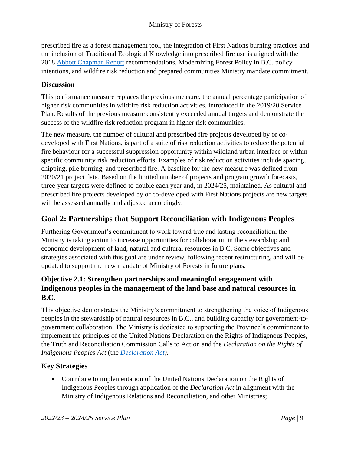prescribed fire as a forest management tool, the integration of First Nations burning practices and the inclusion of Traditional Ecological Knowledge into prescribed fire use is aligned with the 2018 [Abbott Chapman Report](https://www2.gov.bc.ca/assets/gov/public-safety-and-emergency-services/emergency-preparedness-response-recovery/embc/bc-flood-and-wildfire-review-addressing-the-new-normal-21st-century-disaster-management-in-bc-web.pdf) recommendations, Modernizing Forest Policy in B.C. policy intentions, and wildfire risk reduction and prepared communities Ministry mandate commitment.

#### **Discussion**

This performance measure replaces the previous measure, the annual percentage participation of higher risk communities in wildfire risk reduction activities, introduced in the 2019/20 Service Plan. Results of the previous measure consistently exceeded annual targets and demonstrate the success of the wildfire risk reduction program in higher risk communities.

The new measure, the number of cultural and prescribed fire projects developed by or codeveloped with First Nations, is part of a suite of risk reduction activities to reduce the potential fire behaviour for a successful suppression opportunity within wildland urban interface or within specific community risk reduction efforts. Examples of risk reduction activities include spacing, chipping, pile burning, and prescribed fire. A baseline for the new measure was defined from 2020/21 project data. Based on the limited number of projects and program growth forecasts, three-year targets were defined to double each year and, in 2024/25, maintained. As cultural and prescribed fire projects developed by or co-developed with First Nations projects are new targets will be assessed annually and adjusted accordingly.

#### **Goal 2: Partnerships that Support Reconciliation with Indigenous Peoples**

Furthering Government's commitment to work toward true and lasting reconciliation, the Ministry is taking action to increase opportunities for collaboration in the stewardship and economic development of land, natural and cultural resources in B.C. Some objectives and strategies associated with this goal are under review, following recent restructuring, and will be updated to support the new mandate of Ministry of Forests in future plans.

#### **Objective 2.1: Strengthen partnerships and meaningful engagement with Indigenous peoples in the management of the land base and natural resources in B.C.**

This objective demonstrates the Ministry's commitment to strengthening the voice of Indigenous peoples in the stewardship of natural resources in B.C., and building capacity for government-togovernment collaboration. The Ministry is dedicated to supporting the Province's commitment to implement the principles of the United Nations Declaration on the Rights of Indigenous Peoples, the Truth and Reconciliation Commission Calls to Action and the *Declaration on the Rights of Indigenous Peoples Act* (the *[Declaration Act\)](https://declaration.gov.bc.ca/)*.

#### **Key Strategies**

• Contribute to implementation of the United Nations Declaration on the Rights of Indigenous Peoples through application of the *Declaration Act* in alignment with the Ministry of Indigenous Relations and Reconciliation, and other Ministries;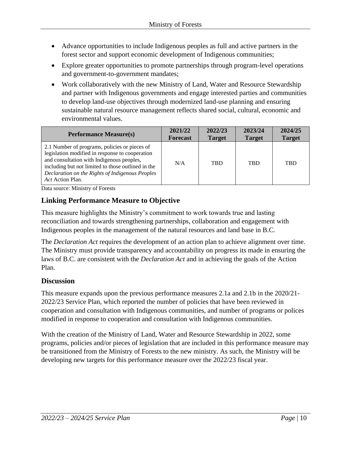- Advance opportunities to include Indigenous peoples as full and active partners in the forest sector and support economic development of Indigenous communities;
- Explore greater opportunities to promote partnerships through program-level operations and government-to-government mandates;
- Work collaboratively with the new Ministry of Land, Water and Resource Stewardship and partner with Indigenous governments and engage interested parties and communities to develop land-use objectives through modernized land-use planning and ensuring sustainable natural resource management reflects shared social, cultural, economic and environmental values.

| <b>Performance Measure(s)</b>                                                                                                                                                                                                                                              | 2021/22         | 2022/23       | 2023/24       | 2024/25       |
|----------------------------------------------------------------------------------------------------------------------------------------------------------------------------------------------------------------------------------------------------------------------------|-----------------|---------------|---------------|---------------|
|                                                                                                                                                                                                                                                                            | <b>Forecast</b> | <b>Target</b> | <b>Target</b> | <b>Target</b> |
| 2.1 Number of programs, policies or pieces of<br>legislation modified in response to cooperation<br>and consultation with Indigenous peoples,<br>including but not limited to those outlined in the<br>Declaration on the Rights of Indigenous Peoples<br>Act Action Plan. | N/A             | <b>TBD</b>    | <b>TRD</b>    | <b>TBD</b>    |

Data source: Ministry of Forests

#### **Linking Performance Measure to Objective**

This measure highlights the Ministry's commitment to work towards true and lasting reconciliation and towards strengthening partnerships, collaboration and engagement with Indigenous peoples in the management of the natural resources and land base in B.C.

The *Declaration Act* requires the development of an action plan to achieve alignment over time. The Ministry must provide transparency and accountability on progress its made in ensuring the laws of B.C. are consistent with the *Declaration Act* and in achieving the goals of the Action Plan.

#### **Discussion**

This measure expands upon the previous performance measures 2.1a and 2.1b in the 2020/21- 2022/23 Service Plan, which reported the number of policies that have been reviewed in cooperation and consultation with Indigenous communities, and number of programs or polices modified in response to cooperation and consultation with Indigenous communities.

With the creation of the Ministry of Land, Water and Resource Stewardship in 2022, some programs, policies and/or pieces of legislation that are included in this performance measure may be transitioned from the Ministry of Forests to the new ministry. As such, the Ministry will be developing new targets for this performance measure over the 2022/23 fiscal year.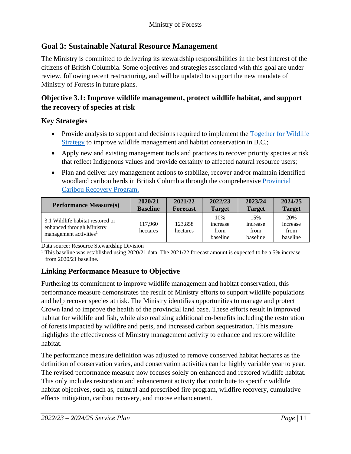#### **Goal 3: Sustainable Natural Resource Management**

The Ministry is committed to delivering its stewardship responsibilities in the best interest of the citizens of British Columbia. Some objectives and strategies associated with this goal are under review, following recent restructuring, and will be updated to support the new mandate of Ministry of Forests in future plans.

#### **Objective 3.1: Improve wildlife management, protect wildlife habitat, and support the recovery of species at risk**

#### **Key Strategies**

- Provide analysis to support and decisions required to implement the Together for Wildlife [Strategy](https://www2.gov.bc.ca/assets/gov/environment/plants-animals-and-ecosystems/wildlife-wildlife-habitat/together-for-wildlife/together-for-wildlife-strategy.pdf) to improve wildlife management and habitat conservation in B.C.;
- Apply new and existing management tools and practices to recover priority species at risk that reflect Indigenous values and provide certainty to affected natural resource users;
- Plan and deliver key management actions to stabilize, recover and/or maintain identified woodland caribou herds in British Columbia through the comprehensive [Provincial](https://engage.gov.bc.ca/app/uploads/sites/373/2018/04/Provincial-Caribou-Recovery-Program-Apr18_Rev.pdf)  [Caribou Recovery Program.](https://engage.gov.bc.ca/app/uploads/sites/373/2018/04/Provincial-Caribou-Recovery-Program-Apr18_Rev.pdf)

| <b>Performance Measure(s)</b>                                                                       | 2020/21             | 2021/22             | 2022/23                             | 2023/24                             | 2024/25                             |
|-----------------------------------------------------------------------------------------------------|---------------------|---------------------|-------------------------------------|-------------------------------------|-------------------------------------|
|                                                                                                     | <b>Baseline</b>     | <b>Forecast</b>     | <b>Target</b>                       | <b>Target</b>                       | <b>Target</b>                       |
| 3.1 Wildlife habitat restored or<br>enhanced through Ministry<br>management activities <sup>1</sup> | 117.960<br>hectares | 123,858<br>hectares | 10%<br>increase<br>from<br>baseline | 15%<br>increase<br>from<br>baseline | 20%<br>increase<br>from<br>baseline |

Data source: Resource Stewardship Division

<sup>1</sup> This baseline was established using 2020/21 data. The 2021/22 forecast amount is expected to be a 5% increase from 2020/21 baseline.

#### **Linking Performance Measure to Objective**

Furthering its commitment to improve wildlife management and habitat conservation, this performance measure demonstrates the result of Ministry efforts to support wildlife populations and help recover species at risk. The Ministry identifies opportunities to manage and protect Crown land to improve the health of the provincial land base. These efforts result in improved habitat for wildlife and fish, while also realizing additional co-benefits including the restoration of forests impacted by wildfire and pests, and increased carbon sequestration. This measure highlights the effectiveness of Ministry management activity to enhance and restore wildlife habitat.

The performance measure definition was adjusted to remove conserved habitat hectares as the definition of conservation varies, and conservation activities can be highly variable year to year. The revised performance measure now focuses solely on enhanced and restored wildlife habitat. This only includes restoration and enhancement activity that contribute to specific wildlife habitat objectives, such as, cultural and prescribed fire program, wildfire recovery, cumulative effects mitigation, caribou recovery, and moose enhancement.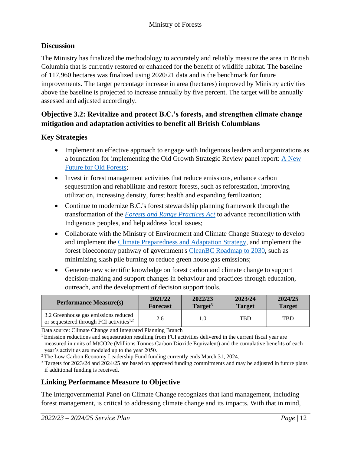#### **Discussion**

The Ministry has finalized the methodology to accurately and reliably measure the area in British Columbia that is currently restored or enhanced for the benefit of wildlife habitat. The baseline of 117,960 hectares was finalized using 2020/21 data and is the benchmark for future improvements. The target percentage increase in area (hectares) improved by Ministry activities above the baseline is projected to increase annually by five percent. The target will be annually assessed and adjusted accordingly.

#### **Objective 3.2: Revitalize and protect B.C.'s forests, and strengthen climate change mitigation and adaptation activities to benefit all British Columbians**

#### **Key Strategies**

- Implement an effective approach to engage with Indigenous leaders and organizations as a foundation for implementing the Old Growth Strategic Review panel report: [A New](https://engage.gov.bc.ca/app/uploads/sites/563/2020/09/STRATEGIC-REVIEW-20200430.pdf)  [Future for Old Forests;](https://engage.gov.bc.ca/app/uploads/sites/563/2020/09/STRATEGIC-REVIEW-20200430.pdf)
- Invest in forest management activities that reduce emissions, enhance carbon sequestration and rehabilitate and restore forests, such as reforestation, improving utilization, increasing density, forest health and expanding fertilization;
- Continue to modernize B.C.'s forest stewardship planning framework through the transformation of the *[Forests and Range Practices Act](https://www2.gov.bc.ca/gov/content/environment/natural-resource-stewardship/laws-policies-standards-guidance/legislation-regulation/forest-range-practices-act)* to advance reconciliation with Indigenous peoples, and help address local issues;
- Collaborate with the Ministry of Environment and Climate Change Strategy to develop and implement the [Climate Preparedness and Adaptation Strategy,](https://www2.gov.bc.ca/gov/content/environment/climate-change/adaptation#CPAS) and implement the forest bioeconomy pathway of government's [CleanBC Roadmap to 2030,](https://www2.gov.bc.ca/assets/gov/environment/climate-change/action/cleanbc/cleanbc_roadmap_2030.pdf) such as minimizing slash pile burning to reduce green house gas emissions;
- Generate new scientific knowledge on forest carbon and climate change to support decision-making and support changes in behaviour and practices through education, outreach, and the development of decision support tools.

| <b>Performance Measure(s)</b>                                                                | 2021/22         | 2022/23             | 2023/24       | 2024/25       |
|----------------------------------------------------------------------------------------------|-----------------|---------------------|---------------|---------------|
|                                                                                              | <b>Forecast</b> | Target <sup>3</sup> | <b>Target</b> | <b>Target</b> |
| 3.2 Greenhouse gas emissions reduced<br>or sequestered through FCI activities <sup>1,2</sup> | 2.6             |                     | <b>TBD</b>    | <b>TBD</b>    |

Data source: Climate Change and Integrated Planning Branch

<sup>1</sup> Emission reductions and sequestration resulting from FCI activities delivered in the current fiscal year are measured in units of MtCO2e (Millions Tonnes Carbon Dioxide Equivalent) and the cumulative benefits of each year's activities are modeled up to the year 2050.

<sup>2</sup> The Low Carbon Economy Leadership Fund funding currently ends March 31, 2024.

<sup>3</sup> Targets for 2023/24 and 2024/25 are based on approved funding commitments and may be adjusted in future plans if additional funding is received.

#### **Linking Performance Measure to Objective**

The Intergovernmental Panel on Climate Change recognizes that land management, including forest management, is critical to addressing climate change and its impacts. With that in mind,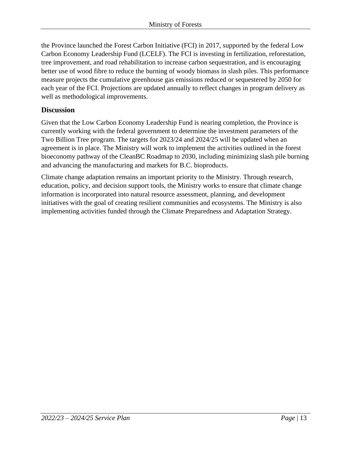the Province launched the Forest Carbon Initiative (FCI) in 2017, supported by the federal Low Carbon Economy Leadership Fund (LCELF). The FCI is investing in fertilization, reforestation, tree improvement, and road rehabilitation to increase carbon sequestration, and is encouraging better use of wood fibre to reduce the burning of woody biomass in slash piles. This performance measure projects the cumulative greenhouse gas emissions reduced or sequestered by 2050 for each year of the FCI. Projections are updated annually to reflect changes in program delivery as well as methodological improvements.

#### **Discussion**

Given that the Low Carbon Economy Leadership Fund is nearing completion, the Province is currently working with the federal government to determine the investment parameters of the Two Billion Tree program. The targets for 2023/24 and 2024/25 will be updated when an agreement is in place. The Ministry will work to implement the activities outlined in the forest bioeconomy pathway of the CleanBC Roadmap to 2030, including minimizing slash pile burning and advancing the manufacturing and markets for B.C. bioproducts.

Climate change adaptation remains an important priority to the Ministry. Through research, education, policy, and decision support tools, the Ministry works to ensure that climate change information is incorporated into natural resource assessment, planning, and development initiatives with the goal of creating resilient communities and ecosystems. The Ministry is also implementing activities funded through the Climate Preparedness and Adaptation Strategy.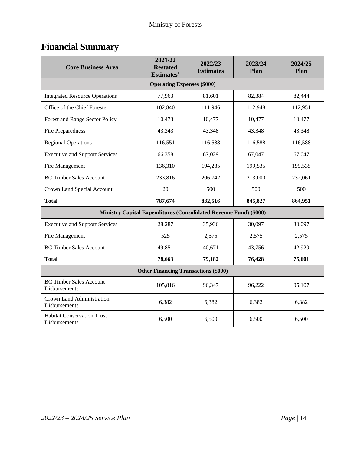# <span id="page-13-0"></span>**Financial Summary**

| <b>Core Business Area</b>                          | 2021/22<br><b>Restated</b><br>Estimates <sup>1</sup>              | 2022/23<br><b>Estimates</b> | 2023/24<br>Plan | 2024/25<br>Plan |  |  |  |
|----------------------------------------------------|-------------------------------------------------------------------|-----------------------------|-----------------|-----------------|--|--|--|
| <b>Operating Expenses (\$000)</b>                  |                                                                   |                             |                 |                 |  |  |  |
| <b>Integrated Resource Operations</b>              | 77,963                                                            | 81,601                      | 82,384          | 82,444          |  |  |  |
| Office of the Chief Forester                       | 102,840                                                           | 111,946                     | 112,948         | 112,951         |  |  |  |
| Forest and Range Sector Policy                     | 10,473                                                            | 10,477                      | 10,477          | 10,477          |  |  |  |
| Fire Preparedness                                  | 43,343                                                            | 43,348                      | 43,348          | 43,348          |  |  |  |
| <b>Regional Operations</b>                         | 116,551                                                           | 116,588                     | 116,588         | 116,588         |  |  |  |
| <b>Executive and Support Services</b>              | 66,358                                                            | 67,029                      | 67,047          | 67,047          |  |  |  |
| Fire Management                                    | 136,310                                                           | 194,285                     | 199,535         | 199,535         |  |  |  |
| <b>BC Timber Sales Account</b>                     | 233,816                                                           | 206,742                     | 213,000         | 232,061         |  |  |  |
| Crown Land Special Account                         | 20                                                                | 500                         | 500             | 500             |  |  |  |
| <b>Total</b>                                       | 787,674                                                           | 832,516                     | 845,827         | 864,951         |  |  |  |
|                                                    | Ministry Capital Expenditures (Consolidated Revenue Fund) (\$000) |                             |                 |                 |  |  |  |
| <b>Executive and Support Services</b>              | 28,287                                                            | 35,936                      | 30,097          | 30,097          |  |  |  |
| Fire Management                                    | 525                                                               | 2,575                       | 2,575           | 2,575           |  |  |  |
| <b>BC Timber Sales Account</b>                     | 49,851                                                            | 40,671                      | 43,756          | 42,929          |  |  |  |
| <b>Total</b>                                       | 78,663                                                            | 79,182                      | 76,428          | 75,601          |  |  |  |
| <b>Other Financing Transactions (\$000)</b>        |                                                                   |                             |                 |                 |  |  |  |
| <b>BC Timber Sales Account</b><br>Disbursements    | 105,816                                                           | 96,347                      | 96,222          | 95,107          |  |  |  |
| Crown Land Administration<br>Disbursements         | 6,382                                                             | 6,382                       | 6,382           | 6,382           |  |  |  |
| <b>Habitat Conservation Trust</b><br>Disbursements | 6,500                                                             | 6,500                       | 6,500           | 6,500           |  |  |  |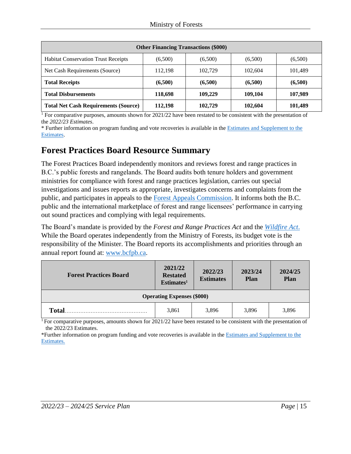| <b>Other Financing Transactions (\$000)</b> |         |         |         |         |  |  |
|---------------------------------------------|---------|---------|---------|---------|--|--|
| <b>Habitat Conservation Trust Receipts</b>  | (6,500) | (6,500) | (6,500) | (6,500) |  |  |
| Net Cash Requirements (Source)              | 112,198 | 102,729 | 102,604 | 101.489 |  |  |
| <b>Total Receipts</b>                       | (6,500) | (6,500) | (6,500) | (6,500) |  |  |
| <b>Total Disbursements</b>                  | 118,698 | 109,229 | 109,104 | 107,989 |  |  |
| <b>Total Net Cash Requirements (Source)</b> | 112,198 | 102,729 | 102,604 | 101,489 |  |  |

<sup>1</sup> For comparative purposes, amounts shown for 2021/22 have been restated to be consistent with the presentation of the *2022/23 Estimates*.

\* Further information on program funding and vote recoveries is available in th[e Estimates and Supplement to the](http://www.bcbudget.gov.bc.ca/)  [Estimates.](http://www.bcbudget.gov.bc.ca/)

#### <span id="page-14-0"></span>**Forest Practices Board Resource Summary**

The Forest Practices Board independently monitors and reviews forest and range practices in B.C.'s public forests and rangelands. The Board audits both tenure holders and government ministries for compliance with forest and range practices legislation, carries out special investigations and issues reports as appropriate, investigates concerns and complaints from the public, and participates in appeals to the [Forest Appeals Commission.](http://www.fac.gov.bc.ca/) It informs both the B.C. public and the international marketplace of forest and range licensees' performance in carrying out sound practices and complying with legal requirements.

The Board's mandate is provided by the *Forest and Range Practices Act* and the *[Wildfire Act](https://www.bclaws.gov.bc.ca/civix/document/id/complete/statreg/04031_01)*. While the Board operates independently from the Ministry of Forests, its budget vote is the responsibility of the Minister. The Board reports its accomplishments and priorities through an annual report found at: [www.bcfpb.ca.](http://www.bcfpb.ca/)

| <b>Forest Practices Board</b>     | 2021/22<br><b>Restated</b><br>Estimates <sup>1</sup> | 2022/23<br><b>Estimates</b> | 2023/24<br><b>Plan</b> | 2024/25<br><b>Plan</b> |  |  |
|-----------------------------------|------------------------------------------------------|-----------------------------|------------------------|------------------------|--|--|
| <b>Operating Expenses (\$000)</b> |                                                      |                             |                        |                        |  |  |
| <b>Total</b>                      | 3,861                                                | 3,896                       | 3,896                  | 3,896                  |  |  |

<sup>1</sup> For comparative purposes, amounts shown for 2021/22 have been restated to be consistent with the presentation of the 2022/23 Estimates.

\*Further information on program funding and vote recoveries is available in the [Estimates and Supplement to the](https://www.bcbudget.gov.bc.ca/2020/default.htm)  [Estimates.](https://www.bcbudget.gov.bc.ca/2020/default.htm)